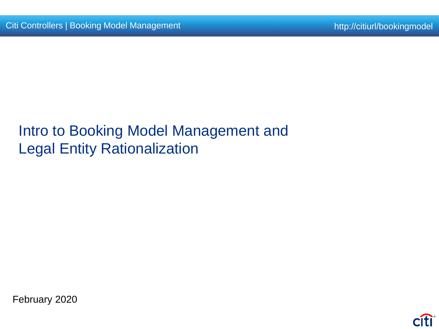# Intro to Booking Model Management and Legal Entity Rationalization

February 2020

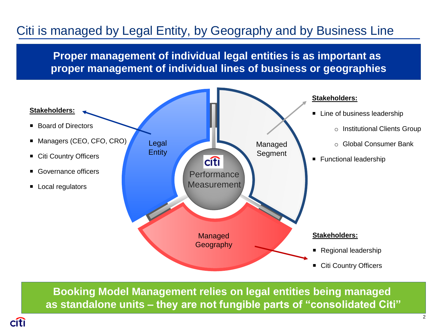## Citi is managed by Legal Entity, by Geography and by Business Line

**Proper management of individual legal entities is as important as proper management of individual lines of business or geographies**



**Booking Model Management relies on legal entities being managed as standalone units – they are not fungible parts of "consolidated Citi"**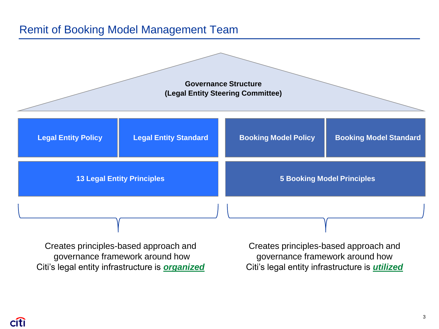#### Remit of Booking Model Management Team



Creates principles-based approach and governance framework around how Citi's legal entity infrastructure is *organized*

Creates principles-based approach and governance framework around how Citi's legal entity infrastructure is *utilized*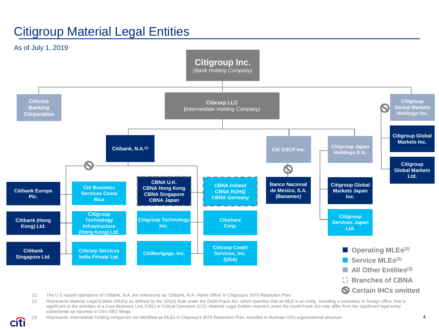### Citigroup Material Legal Entities

citi



(2) Represents Material Legal Entities (MLEs) as defined by the 165(d) Rule under the Dodd-Frank Act, which specifies that an MLE is an entity, including a subsidiary or foreign office, that is significant to the activities of a Core Business Line (CBL) or Critical Operation (CO). Material Legal Entities reported under the Dodd-Frank Act may differ from the significant legal entity subsidiaries as reported in Citi's SEC filings.

(3) Represents intermediate holding companies not identified as MLEs in Citigroup's 2019 Resolution Plan, included to illustrate Citi's organizational structure